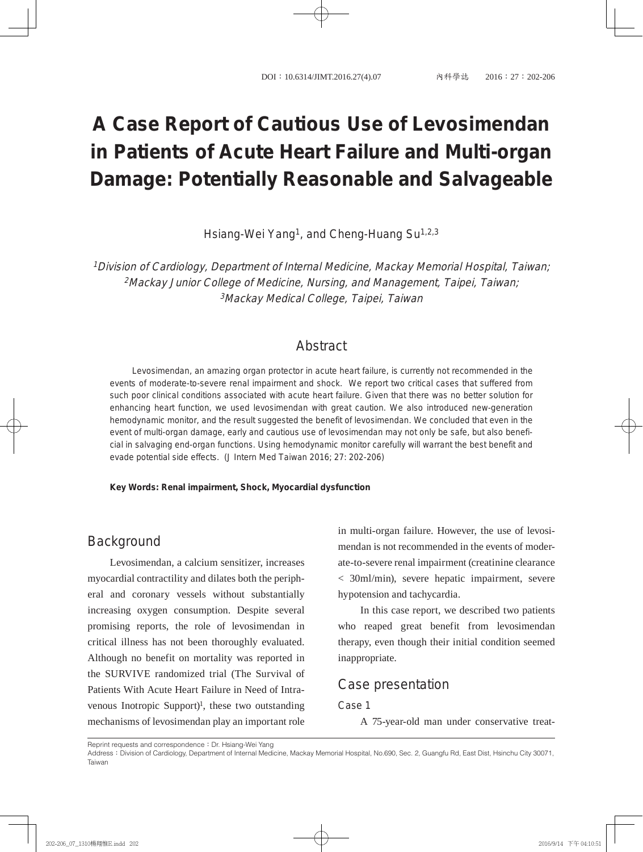# **A Case Report of Cautious Use of Levosimendan in Patients of Acute Heart Failure and Multi-organ Damage: Potentially Reasonable and Salvageable**

Hsiang-Wei Yang<sup>1</sup>, and Cheng-Huang Su<sup>1,2,3</sup>

<sup>1</sup>Division of Cardiology, Department of Internal Medicine, Mackay Memorial Hospital, Taiwan; <sup>2</sup>Mackay Junior College of Medicine, Nursing, and Management, Taipei, Taiwan; <sup>3</sup>Mackay Medical College, Taipei, Taiwan

### **Abstract**

Levosimendan, an amazing organ protector in acute heart failure, is currently not recommended in the events of moderate-to-severe renal impairment and shock. We report two critical cases that suffered from such poor clinical conditions associated with acute heart failure. Given that there was no better solution for enhancing heart function, we used levosimendan with great caution. We also introduced new-generation hemodynamic monitor, and the result suggested the benefit of levosimendan. We concluded that even in the event of multi-organ damage, early and cautious use of levosimendan may not only be safe, but also beneficial in salvaging end-organ functions. Using hemodynamic monitor carefully will warrant the best benefit and evade potential side effects. (J Intern Med Taiwan 2016; 27: 202-206)

**Key Words: Renal impairment, Shock, Myocardial dysfunction**

### **Background**

Levosimendan, a calcium sensitizer, increases myocardial contractility and dilates both the peripheral and coronary vessels without substantially increasing oxygen consumption. Despite several promising reports, the role of levosimendan in critical illness has not been thoroughly evaluated. Although no benefit on mortality was reported in the SURVIVE randomized trial (The Survival of Patients With Acute Heart Failure in Need of Intravenous Inotropic Support $)$ <sup>1</sup>, these two outstanding mechanisms of levosimendan play an important role

in multi-organ failure. However, the use of levosimendan is not recommended in the events of moderate-to-severe renal impairment (creatinine clearance < 30ml/min), severe hepatic impairment, severe hypotension and tachycardia.

In this case report, we described two patients who reaped great benefit from levosimendan therapy, even though their initial condition seemed inappropriate.

#### Case presentation

#### Case 1

A 75-year-old man under conservative treat-

Reprint requests and correspondence: Dr. Hsiang-Wei Yang

Address: Division of Cardiology, Department of Internal Medicine, Mackay Memorial Hospital, No.690, Sec. 2, Guangfu Rd, East Dist, Hsinchu City 30071, Taiwan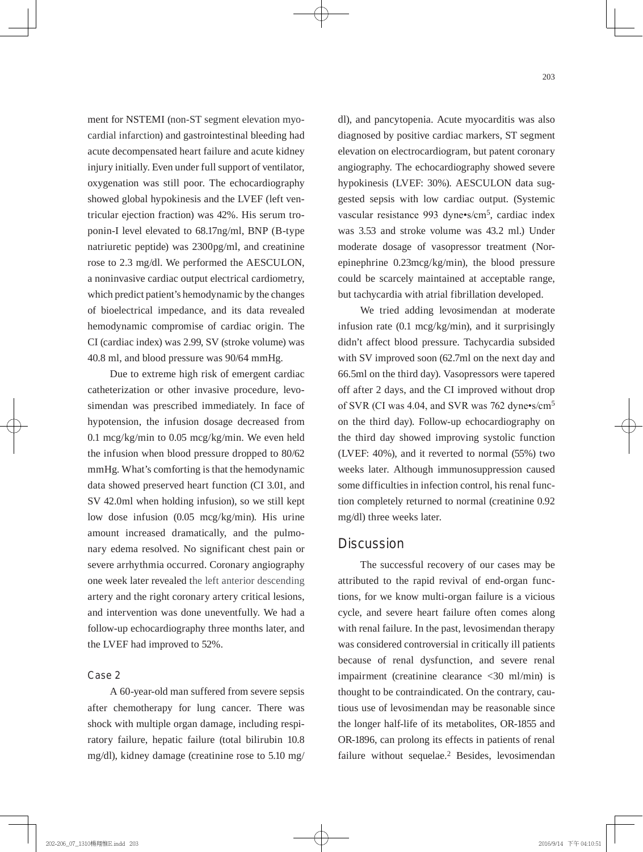ment for NSTEMI (non-ST segment elevation myocardial infarction) and gastrointestinal bleeding had acute decompensated heart failure and acute kidney injury initially. Even under full support of ventilator, oxygenation was still poor. The echocardiography showed global hypokinesis and the LVEF (left ventricular ejection fraction) was 42%. His serum troponin-I level elevated to 68.17ng/ml, BNP (B-type natriuretic peptide) was 2300pg/ml, and creatinine rose to 2.3 mg/dl. We performed the AESCULON, a noninvasive cardiac output electrical cardiometry, which predict patient's hemodynamic by the changes of bioelectrical impedance, and its data revealed hemodynamic compromise of cardiac origin. The CI (cardiac index) was 2.99, SV (stroke volume) was 40.8 ml, and blood pressure was 90/64 mmHg.

Due to extreme high risk of emergent cardiac catheterization or other invasive procedure, levosimendan was prescribed immediately. In face of hypotension, the infusion dosage decreased from 0.1 mcg/kg/min to 0.05 mcg/kg/min. We even held the infusion when blood pressure dropped to 80/62 mmHg. What's comforting is that the hemodynamic data showed preserved heart function (CI 3.01, and SV 42.0ml when holding infusion), so we still kept low dose infusion (0.05 mcg/kg/min). His urine amount increased dramatically, and the pulmonary edema resolved. No significant chest pain or severe arrhythmia occurred. Coronary angiography one week later revealed the left anterior descending artery and the right coronary artery critical lesions, and intervention was done uneventfully. We had a follow-up echocardiography three months later, and the LVEF had improved to 52%.

#### Case 2

A 60-year-old man suffered from severe sepsis after chemotherapy for lung cancer. There was shock with multiple organ damage, including respiratory failure, hepatic failure (total bilirubin 10.8 mg/dl), kidney damage (creatinine rose to 5.10 mg/

dl), and pancytopenia. Acute myocarditis was also diagnosed by positive cardiac markers, ST segment elevation on electrocardiogram, but patent coronary angiography. The echocardiography showed severe hypokinesis (LVEF: 30%). AESCULON data suggested sepsis with low cardiac output. (Systemic vascular resistance 993 dyne•s/cm<sup>5</sup>, cardiac index was 3.53 and stroke volume was 43.2 ml.) Under moderate dosage of vasopressor treatment (Norepinephrine 0.23mcg/kg/min), the blood pressure could be scarcely maintained at acceptable range, but tachycardia with atrial fibrillation developed.

We tried adding levosimendan at moderate infusion rate (0.1 mcg/kg/min), and it surprisingly didn't affect blood pressure. Tachycardia subsided with SV improved soon (62.7ml on the next day and 66.5ml on the third day). Vasopressors were tapered off after 2 days, and the CI improved without drop of SVR (CI was 4.04, and SVR was 762 dyne•s/cm<sup>5</sup> on the third day). Follow-up echocardiography on the third day showed improving systolic function (LVEF: 40%), and it reverted to normal (55%) two weeks later. Although immunosuppression caused some difficulties in infection control, his renal function completely returned to normal (creatinine 0.92 mg/dl) three weeks later.

#### **Discussion**

The successful recovery of our cases may be attributed to the rapid revival of end-organ functions, for we know multi-organ failure is a vicious cycle, and severe heart failure often comes along with renal failure. In the past, levosimendan therapy was considered controversial in critically ill patients because of renal dysfunction, and severe renal impairment (creatinine clearance <30 ml/min) is thought to be contraindicated. On the contrary, cautious use of levosimendan may be reasonable since the longer half-life of its metabolites, OR-1855 and OR-1896, can prolong its effects in patients of renal failure without sequelae.<sup>2</sup> Besides, levosimendan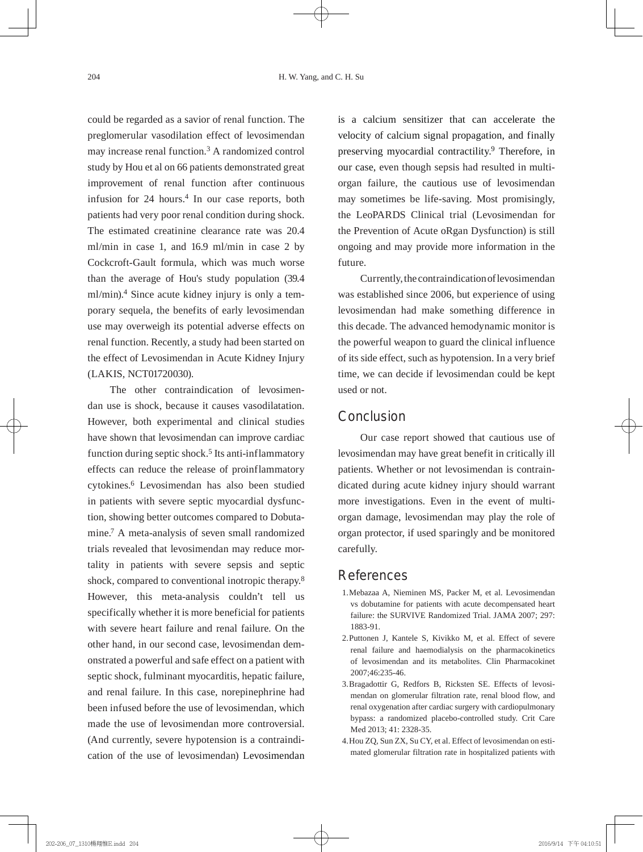could be regarded as a savior of renal function. The preglomerular vasodilation effect of levosimendan may increase renal function.3 A randomized control study by Hou et al on 66 patients demonstrated great improvement of renal function after continuous infusion for 24 hours.4 In our case reports, both patients had very poor renal condition during shock. The estimated creatinine clearance rate was 20.4 ml/min in case 1, and 16.9 ml/min in case 2 by Cockcroft-Gault formula, which was much worse than the average of Hou's study population (39.4 ml/min).4 Since acute kidney injury is only a temporary sequela, the benefits of early levosimendan use may overweigh its potential adverse effects on renal function. Recently, a study had been started on the effect of Levosimendan in Acute Kidney Injury (LAKIS, NCT01720030).

The other contraindication of levosimendan use is shock, because it causes vasodilatation. However, both experimental and clinical studies have shown that levosimendan can improve cardiac function during septic shock.<sup>5</sup> Its anti-inflammatory effects can reduce the release of proinflammatory cytokines.6 Levosimendan has also been studied in patients with severe septic myocardial dysfunction, showing better outcomes compared to Dobutamine.7 A meta-analysis of seven small randomized trials revealed that levosimendan may reduce mortality in patients with severe sepsis and septic shock, compared to conventional inotropic therapy.<sup>8</sup> However, this meta-analysis couldn't tell us specifically whether it is more beneficial for patients with severe heart failure and renal failure. On the other hand, in our second case, levosimendan demonstrated a powerful and safe effect on a patient with septic shock, fulminant myocarditis, hepatic failure, and renal failure. In this case, norepinephrine had been infused before the use of levosimendan, which made the use of levosimendan more controversial. (And currently, severe hypotension is a contraindication of the use of levosimendan) Levosimendan

is a calcium sensitizer that can accelerate the velocity of calcium signal propagation, and finally preserving myocardial contractility.9 Therefore, in our case, even though sepsis had resulted in multiorgan failure, the cautious use of levosimendan may sometimes be life-saving. Most promisingly, the LeoPARDS Clinical trial (Levosimendan for the Prevention of Acute oRgan Dysfunction) is still ongoing and may provide more information in the future.

Currently, the contraindication of levosimendan was established since 2006, but experience of using levosimendan had make something difference in this decade. The advanced hemodynamic monitor is the powerful weapon to guard the clinical influence of its side effect, such as hypotension. In a very brief time, we can decide if levosimendan could be kept used or not.

## **Conclusion**

Our case report showed that cautious use of levosimendan may have great benefit in critically ill patients. Whether or not levosimendan is contraindicated during acute kidney injury should warrant more investigations. Even in the event of multiorgan damage, levosimendan may play the role of organ protector, if used sparingly and be monitored carefully.

# References

- 1. Mebazaa A, Nieminen MS, Packer M, et al. Levosimendan vs dobutamine for patients with acute decompensated heart failure: the SURVIVE Randomized Trial. JAMA 2007; 297: 1883-91.
- 2. Puttonen J, Kantele S, Kivikko M, et al. Effect of severe renal failure and haemodialysis on the pharmacokinetics of levosimendan and its metabolites. Clin Pharmacokinet 2007;46:235-46.
- 3. Bragadottir G, Redfors B, Ricksten SE. Effects of levosimendan on glomerular filtration rate, renal blood flow, and renal oxygenation after cardiac surgery with cardiopulmonary bypass: a randomized placebo-controlled study. Crit Care Med 2013; 41: 2328-35.
- 4. Hou ZQ, Sun ZX, Su CY, et al. Effect of levosimendan on estimated glomerular filtration rate in hospitalized patients with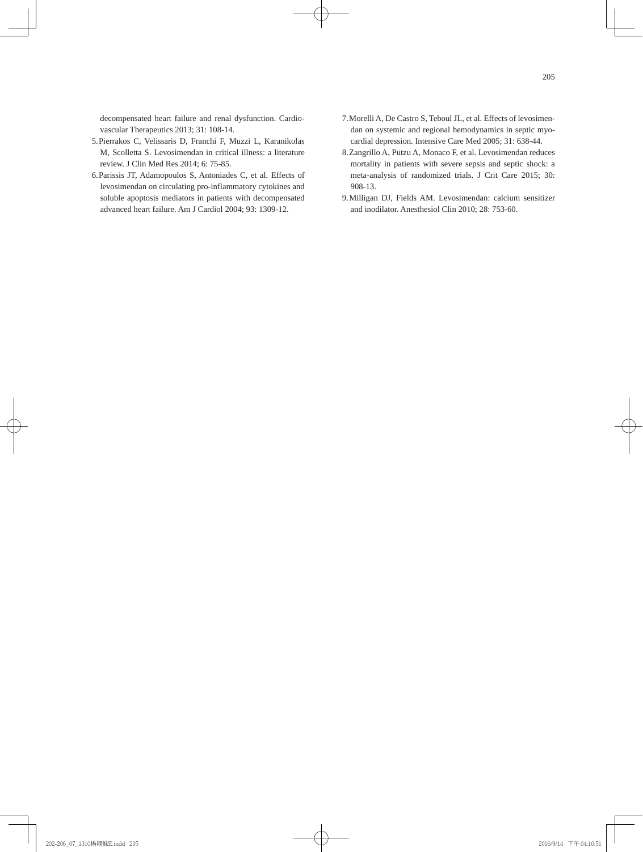decompensated heart failure and renal dysfunction. Cardiovascular Therapeutics 2013; 31: 108-14.

- 5. Pierrakos C, Velissaris D, Franchi F, Muzzi L, Karanikolas M, Scolletta S. Levosimendan in critical illness: a literature review. J Clin Med Res 2014; 6: 75-85.
- 6. Parissis JT, Adamopoulos S, Antoniades C, et al. Effects of levosimendan on circulating pro-inflammatory cytokines and soluble apoptosis mediators in patients with decompensated advanced heart failure. Am J Cardiol 2004; 93: 1309-12.
- 7. Morelli A, De Castro S, Teboul JL, et al. Effects of levosimendan on systemic and regional hemodynamics in septic myocardial depression. Intensive Care Med 2005; 31: 638-44.
- 8. Zangrillo A, Putzu A, Monaco F, et al. Levosimendan reduces mortality in patients with severe sepsis and septic shock: a meta-analysis of randomized trials. J Crit Care 2015; 30: 908-13.
- 9. Milligan DJ, Fields AM. Levosimendan: calcium sensitizer and inodilator. Anesthesiol Clin 2010; 28: 753-60.